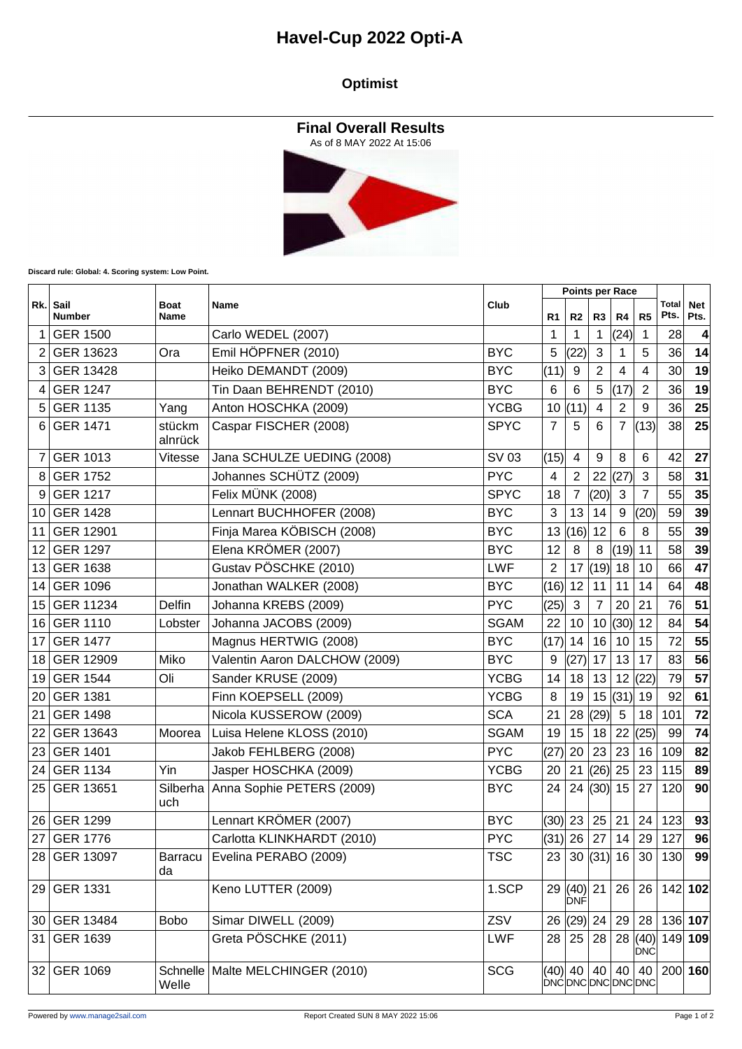## **Havel-Cup 2022 Opti-A**

#### **Optimist**

**Final Overall Results**



**Discard rule: Global: 4. Scoring system: Low Point.**

|     | Sail<br><b>Number</b> | <b>Boat</b><br>Name  | Name                             | Club        | <b>Points per Race</b> |                     |                |                |                       |                 |                    |
|-----|-----------------------|----------------------|----------------------------------|-------------|------------------------|---------------------|----------------|----------------|-----------------------|-----------------|--------------------|
| Rk. |                       |                      |                                  |             | R1                     | R2                  | R3             | R4             | R <sub>5</sub>        | Total<br>Pts.   | <b>Net</b><br>Pts. |
| 1   | <b>GER 1500</b>       |                      | Carlo WEDEL (2007)               |             | -1                     | 1                   | $\mathbf{1}$   | (24)           | 1                     | 28              | 4                  |
| 2   | GER 13623             | Ora                  | Emil HÖPFNER (2010)              | <b>BYC</b>  | 5                      | (22)                | 3              | 1              | 5                     | 36 <sup>2</sup> | 14                 |
| 3   | GER 13428             |                      | Heiko DEMANDT (2009)             | <b>BYC</b>  | (11)                   | 9                   | $\overline{2}$ | 4              | 4                     | 30 <sup>2</sup> | 19                 |
| 4   | <b>GER 1247</b>       |                      | Tin Daan BEHRENDT (2010)         | <b>BYC</b>  | 6                      | 6                   | 5              | (17)           | $\overline{2}$        | 36              | 19                 |
| 5   | <b>GER 1135</b>       | Yang                 | Anton HOSCHKA (2009)             | <b>YCBG</b> | 10                     | (11)                | 4              | $\overline{2}$ | 9                     | 36              | 25                 |
| 6   | <b>GER 1471</b>       | stückm<br>alnrück    | Caspar FISCHER (2008)            | <b>SPYC</b> | $\overline{7}$         | 5                   | 6              | $\overline{7}$ | (13)                  | 38              | 25                 |
| 7   | <b>GER 1013</b>       | Vitesse              | Jana SCHULZE UEDING (2008)       | SV 03       | (15)                   | 4                   | 9              | 8              | 6                     | 42              | 27                 |
| 8   | <b>GER 1752</b>       |                      | Johannes SCHÜTZ (2009)           | <b>PYC</b>  | 4                      | $\overline{2}$      | 22             | (27)           | $\mathfrak{S}$        | 58              | 31                 |
| 9   | <b>GER 1217</b>       |                      | Felix MÜNK (2008)                | <b>SPYC</b> | 18                     | 7                   | (20)           | 3              | 7                     | 55              | 35                 |
| 10  | <b>GER 1428</b>       |                      | Lennart BUCHHOFER (2008)         | <b>BYC</b>  | 3                      | 13                  | 14             | 9              | (20)                  | 59              | 39                 |
| 11  | GER 12901             |                      | Finja Marea KÖBISCH (2008)       | <b>BYC</b>  | 13                     | (16)                | 12             | $6\phantom{1}$ | 8                     | 55              | 39                 |
| 12  | <b>GER 1297</b>       |                      | Elena KRÖMER (2007)              | <b>BYC</b>  | 12                     | 8                   | 8              | (19)           | 11                    | 58              | 39                 |
| 13  | <b>GER 1638</b>       |                      | Gustav PÖSCHKE (2010)            | <b>LWF</b>  | $\overline{2}$         | 17                  | (19)           | 18             | 10                    | 66              | 47                 |
| 14  | <b>GER 1096</b>       |                      | Jonathan WALKER (2008)           | <b>BYC</b>  | $(16)$ 12              |                     | 11             | 11             | 14                    | 64              | 48                 |
| 15  | GER 11234             | Delfin               | Johanna KREBS (2009)             | <b>PYC</b>  | (25)                   | $\mathbf{3}$        | $\overline{7}$ | 20             | 21                    | 76              | 51                 |
| 16  | <b>GER 1110</b>       | Lobster              | Johanna JACOBS (2009)            | <b>SGAM</b> | 22                     | 10                  | 10             | (30)           | 12                    | 84              | 54                 |
| 17  | <b>GER 1477</b>       |                      | Magnus HERTWIG (2008)            | <b>BYC</b>  | (17)                   | 14                  | 16             | 10             | 15                    | 72              | 55                 |
| 18  | GER 12909             | Miko                 | Valentin Aaron DALCHOW (2009)    | <b>BYC</b>  | 9                      | (27)                | 17             | 13             | 17                    | 83              | 56                 |
| 19  | <b>GER 1544</b>       | Oli                  | Sander KRUSE (2009)              | <b>YCBG</b> | 14                     | 18                  | 13             | 12             | (22)                  | 79              | 57                 |
| 20  | <b>GER 1381</b>       |                      | Finn KOEPSELL (2009)             | <b>YCBG</b> | 8                      | 19                  | 15             | (31)           | 19                    | 92              | 61                 |
| 21  | <b>GER 1498</b>       |                      | Nicola KUSSEROW (2009)           | <b>SCA</b>  | 21                     | 28                  | (29)           | 5              | 18                    | 101             | 72                 |
| 22  | GER 13643             | Moorea               | Luisa Helene KLOSS (2010)        | <b>SGAM</b> | 19                     | 15                  | 18             | 22             | (25)                  | 99              | 74                 |
| 23  | <b>GER 1401</b>       |                      | Jakob FEHLBERG (2008)            | <b>PYC</b>  | (27)                   | 20                  | 23             | 23             | 16                    | 109             | 82                 |
| 24  | <b>GER 1134</b>       | Yin                  | Jasper HOSCHKA (2009)            | <b>YCBG</b> | 20                     | 21                  | (26)           | 25             | 23                    | 115             | 89                 |
| 25  | GER 13651             | Silberha<br>uch      | Anna Sophie PETERS (2009)        | <b>BYC</b>  | 24                     |                     | 24  (30)       | 15             | 27                    | 120             | 90                 |
| 26  | <b>GER 1299</b>       |                      | Lennart KRÖMER (2007)            | <b>BYC</b>  | (30)                   | 23                  | 25             | 21             | 24                    | 123             | 93                 |
|     | 27 GER 1776           |                      | Carlotta KLINKHARDT (2010)       | <b>PYC</b>  | $(31)$ 26              |                     | 27             | 14             | 29                    | 127             | 96                 |
|     | 28 GER 13097          | <b>Barracu</b><br>da | Evelina PERABO (2009)            | <b>TSC</b>  | 23                     |                     | 30  (31)  16   |                | 30                    | 130             | 99                 |
|     | 29 GER 1331           |                      | Keno LUTTER (2009)               | 1.SCP       |                        | 29  (40)  21<br>DNF |                | 26             | 26                    |                 | 142 102            |
|     | 30 GER 13484          | <b>Bobo</b>          | Simar DIWELL (2009)              | ZSV         | 26                     | (29)                | 24             | 29             | 28                    |                 | 136 107            |
|     | 31 GER 1639           |                      | Greta PÖSCHKE (2011)             | LWF         | 28                     | 25                  | 28             |                | 28  (40) <br>∣ÒNĆ     |                 | 149 109            |
|     | 32 GER 1069           | Welle                | Schnelle Malte MELCHINGER (2010) | <b>SCG</b>  |                        | (40) 40             | 40             | 40             | 40<br>DNCDNCDNCDNCDNC |                 | $200 $ 160         |